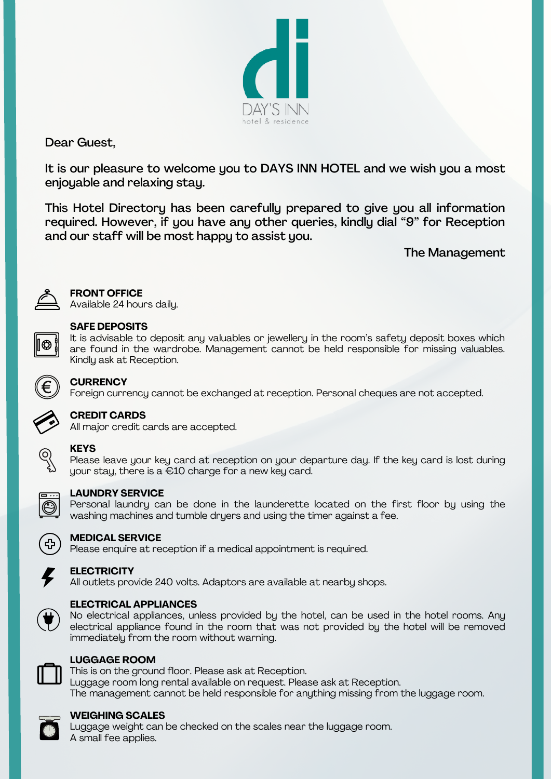

Dear Guest,

It is our pleasure to welcome you to DAYS INN HOTEL and we wish you a most enjoyable and relaxing stay.

This Hotel Directory has been carefully prepared to give you all information required. However, if you have any other queries, kindly dial "9" for Reception and our staff will be most happy to assist you.

### The Management



### **FRONT OFFICE**

Available 24 hours daily.

| $\mathcal{L}^{\text{max}}_{\text{max}}$ and $\mathcal{L}^{\text{max}}_{\text{max}}$ and $\mathcal{L}^{\text{max}}_{\text{max}}$ |  |  |
|---------------------------------------------------------------------------------------------------------------------------------|--|--|

### **SAFE DEPOSITS**

It is advisable to deposit any valuables or jewellery in the room's safety deposit boxes which are found in the wardrobe. Management cannot be held responsible for missing valuables. Kindly ask at Reception.



### **CURRENCY**

Foreign currency cannot be exchanged at reception. Personal cheques are not accepted.



### **CREDIT CARDS**

All major credit cards are accepted.



### **KEYS**

Please leave your key card at reception on your departure day. If the key card is lost during your stay, there is a €10 charge for a new key card.



### **LAUNDRY SERVICE**

Personal laundry can be done in the launderette located on the first floor by using the washing machines and tumble dryers and using the timer against a fee.



### **MEDICAL SERVICE**

Please enquire at reception if a medical appointment is required.



### **ELECTRICITY**

All outlets provide 240 volts. Adaptors are available at nearby shops.



### **ELECTRICAL APPLIANCES**

No electrical appliances, unless provided by the hotel, can be used in the hotel rooms. Any electrical appliance found in the room that was not provided by the hotel will be removed immediately from the room without warning.



### **LUGGAGE ROOM**

This is on the ground floor. Please ask at Reception. Luggage room long rental available on request. Please ask at Reception. The management cannot be held responsible for anything missing from the luggage room.



### **WEIGHING SCALES**

Luggage weight can be checked on the scales near the luggage room. A small fee applies.